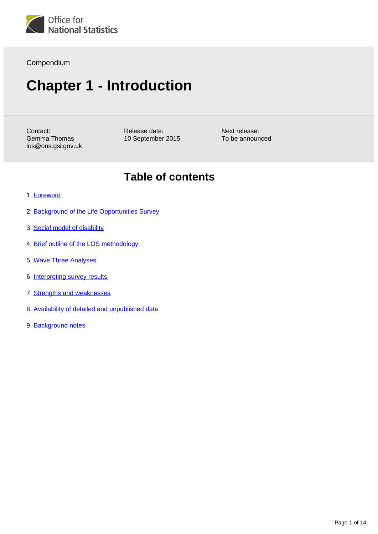

#### Compendium

# **Chapter 1 - Introduction**

Contact: Gemma Thomas los@ons.gsi.gov.uk Release date: 10 September 2015 Next release: To be announced

### **Table of contents**

- 1. [Foreword](#page-1-0)
- 2. [Background of the Life Opportunities Survey](#page-1-1)
- 3. [Social model of disability](#page-1-2)
- 4. [Brief outline of the LOS methodology](#page-3-0)
- 5. [Wave Three Analyses](#page-6-0)
- 6. [Interpreting survey results](#page-8-0)
- 7. [Strengths and weaknesses](#page-10-0)
- 8. [Availability of detailed and unpublished data](#page-13-0)
- 9. Background notes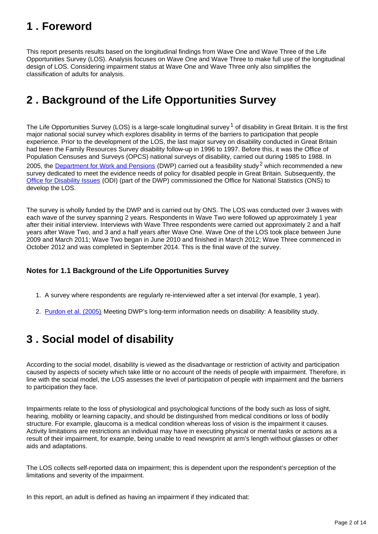## <span id="page-1-0"></span>**1 . Foreword**

This report presents results based on the longitudinal findings from Wave One and Wave Three of the Life Opportunities Survey (LOS). Analysis focuses on Wave One and Wave Three to make full use of the longitudinal design of LOS. Considering impairment status at Wave One and Wave Three only also simplifies the classification of adults for analysis.

## <span id="page-1-1"></span>**2 . Background of the Life Opportunities Survey**

The Life Opportunities Survey (LOS) is a large-scale longitudinal survey  $1$  of disability in Great Britain. It is the first major national social survey which explores disability in terms of the barriers to participation that people experience. Prior to the development of the LOS, the last major survey on disability conducted in Great Britain had been the Family Resources Survey disability follow-up in 1996 to 1997. Before this, it was the Office of Population Censuses and Surveys (OPCS) national surveys of disability, carried out during 1985 to 1988. In 2005, the [Department for Work and Pensions](https://www.gov.uk/government/organisations/department-for-work-pensions) (DWP) carried out a feasibility study<sup>2</sup> which recommended a new survey dedicated to meet the evidence needs of policy for disabled people in Great Britain. Subsequently, the [Office for Disability Issues](https://www.gov.uk/government/organisations/office-for-disability-issues) (ODI) (part of the DWP) commissioned the Office for National Statistics (ONS) to develop the LOS.

The survey is wholly funded by the DWP and is carried out by ONS. The LOS was conducted over 3 waves with each wave of the survey spanning 2 years. Respondents in Wave Two were followed up approximately 1 year after their initial interview. Interviews with Wave Three respondents were carried out approximately 2 and a half years after Wave Two, and 3 and a half years after Wave One. Wave One of the LOS took place between June 2009 and March 2011; Wave Two began in June 2010 and finished in March 2012; Wave Three commenced in October 2012 and was completed in September 2014. This is the final wave of the survey.

#### **Notes for 1.1 Background of the Life Opportunities Survey**

- 1. A survey where respondents are regularly re-interviewed after a set interval (for example, 1 year).
- 2. Eurdon et al. (2005) Meeting DWP's long-term information needs on disability: A feasibility study.

## <span id="page-1-2"></span>**3 . Social model of disability**

According to the social model, disability is viewed as the disadvantage or restriction of activity and participation caused by aspects of society which take little or no account of the needs of people with impairment. Therefore, in line with the social model, the LOS assesses the level of participation of people with impairment and the barriers to participation they face.

Impairments relate to the loss of physiological and psychological functions of the body such as loss of sight, hearing, mobility or learning capacity, and should be distinguished from medical conditions or loss of bodily structure. For example, glaucoma is a medical condition whereas loss of vision is the impairment it causes. Activity limitations are restrictions an individual may have in executing physical or mental tasks or actions as a result of their impairment, for example, being unable to read newsprint at arm's length without glasses or other aids and adaptations.

The LOS collects self-reported data on impairment; this is dependent upon the respondent's perception of the limitations and severity of the impairment.

In this report, an adult is defined as having an impairment if they indicated that: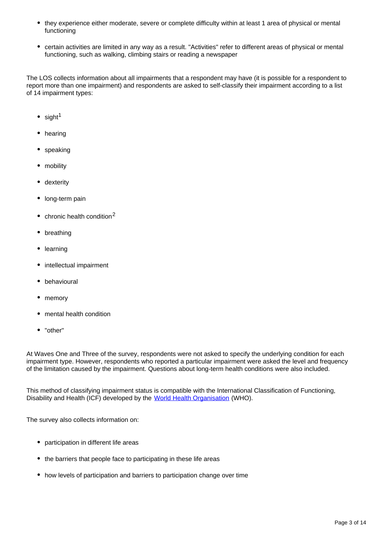- they experience either moderate, severe or complete difficulty within at least 1 area of physical or mental functioning
- certain activities are limited in any way as a result. "Activities" refer to different areas of physical or mental functioning, such as walking, climbing stairs or reading a newspaper

The LOS collects information about all impairments that a respondent may have (it is possible for a respondent to report more than one impairment) and respondents are asked to self-classify their impairment according to a list of 14 impairment types:

- $\cdot$  sight<sup>1</sup>
- hearing
- speaking
- mobility
- dexterity
- long-term pain
- $\bullet$  chronic health condition<sup>2</sup>
- breathing
- learning
- intellectual impairment
- behavioural
- memory
- mental health condition
- "other"

At Waves One and Three of the survey, respondents were not asked to specify the underlying condition for each impairment type. However, respondents who reported a particular impairment were asked the level and frequency of the limitation caused by the impairment. Questions about long-term health conditions were also included.

This method of classifying impairment status is compatible with the International Classification of Functioning, Disability and Health (ICF) developed by the [World Health Organisation](http://www.who.int/en/) (WHO).

The survey also collects information on:

- participation in different life areas
- the barriers that people face to participating in these life areas
- how levels of participation and barriers to participation change over time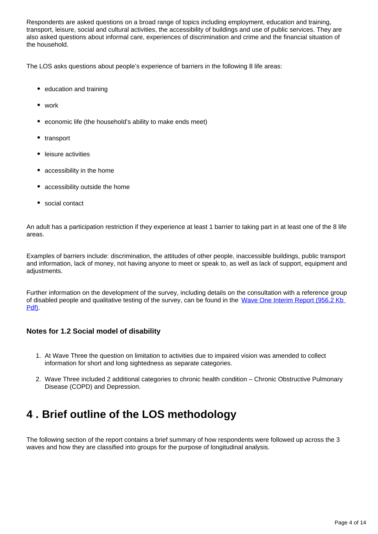Respondents are asked questions on a broad range of topics including employment, education and training, transport, leisure, social and cultural activities, the accessibility of buildings and use of public services. They are also asked questions about informal care, experiences of discrimination and crime and the financial situation of the household.

The LOS asks questions about people's experience of barriers in the following 8 life areas:

- education and training
- work
- economic life (the household's ability to make ends meet)
- transport
- leisure activities
- accessibility in the home
- accessibility outside the home
- social contact

An adult has a participation restriction if they experience at least 1 barrier to taking part in at least one of the 8 life areas.

Examples of barriers include: discrimination, the attitudes of other people, inaccessible buildings, public transport and information, lack of money, not having anyone to meet or speak to, as well as lack of support, equipment and adjustments.

Further information on the development of the survey, including details on the consultation with a reference group of disabled people and qualitative testing of the survey, can be found in the Wave One Interim Report (956.2 Kb [Pdf\)](http://www.ons.gov.uk/ons/rel/los/life-opportunities-survey/life-opportunities-survey/interim-results.pdf).

#### **Notes for 1.2 Social model of disability**

- 1. At Wave Three the question on limitation to activities due to impaired vision was amended to collect information for short and long sightedness as separate categories.
- 2. Wave Three included 2 additional categories to chronic health condition Chronic Obstructive Pulmonary Disease (COPD) and Depression.

## <span id="page-3-0"></span>**4 . Brief outline of the LOS methodology**

The following section of the report contains a brief summary of how respondents were followed up across the 3 waves and how they are classified into groups for the purpose of longitudinal analysis.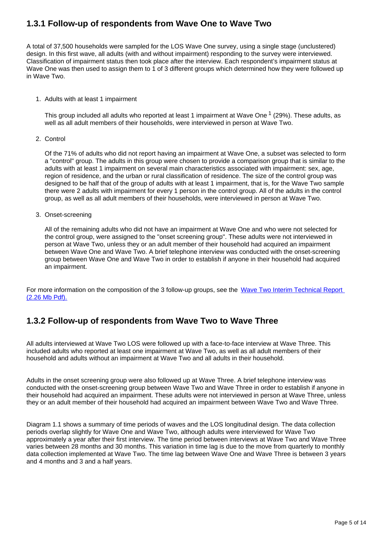### **1.3.1 Follow-up of respondents from Wave One to Wave Two**

A total of 37,500 households were sampled for the LOS Wave One survey, using a single stage (unclustered) design. In this first wave, all adults (with and without impairment) responding to the survey were interviewed. Classification of impairment status then took place after the interview. Each respondent's impairment status at Wave One was then used to assign them to 1 of 3 different groups which determined how they were followed up in Wave Two.

1. Adults with at least 1 impairment

This group included all adults who reported at least 1 impairment at Wave One  $1/29\%$ ). These adults, as well as all adult members of their households, were interviewed in person at Wave Two.

2. Control

Of the 71% of adults who did not report having an impairment at Wave One, a subset was selected to form a "control" group. The adults in this group were chosen to provide a comparison group that is similar to the adults with at least 1 impairment on several main characteristics associated with impairment: sex, age, region of residence, and the urban or rural classification of residence. The size of the control group was designed to be half that of the group of adults with at least 1 impairment, that is, for the Wave Two sample there were 2 adults with impairment for every 1 person in the control group. All of the adults in the control group, as well as all adult members of their households, were interviewed in person at Wave Two.

3. Onset-screening

All of the remaining adults who did not have an impairment at Wave One and who were not selected for the control group, were assigned to the "onset screening group". These adults were not interviewed in person at Wave Two, unless they or an adult member of their household had acquired an impairment between Wave One and Wave Two. A brief telephone interview was conducted with the onset-screening group between Wave One and Wave Two in order to establish if anyone in their household had acquired an impairment.

For more information on the composition of the 3 follow-up groups, see the Wave Two Interim Technical Report [\(2.26 Mb Pdf\).](http://www.ons.gov.uk/ons/rel/los/life-opportunities-survey/wave-two-interim-results-2010-11/wave-two-interim-technical-report.pdf)

### **1.3.2 Follow-up of respondents from Wave Two to Wave Three**

All adults interviewed at Wave Two LOS were followed up with a face-to-face interview at Wave Three. This included adults who reported at least one impairment at Wave Two, as well as all adult members of their household and adults without an impairment at Wave Two and all adults in their household.

Adults in the onset screening group were also followed up at Wave Three. A brief telephone interview was conducted with the onset-screening group between Wave Two and Wave Three in order to establish if anyone in their household had acquired an impairment. These adults were not interviewed in person at Wave Three, unless they or an adult member of their household had acquired an impairment between Wave Two and Wave Three.

Diagram 1.1 shows a summary of time periods of waves and the LOS longitudinal design. The data collection periods overlap slightly for Wave One and Wave Two, although adults were interviewed for Wave Two approximately a year after their first interview. The time period between interviews at Wave Two and Wave Three varies between 28 months and 30 months. This variation in time lag is due to the move from quarterly to monthly data collection implemented at Wave Two. The time lag between Wave One and Wave Three is between 3 years and 4 months and 3 and a half years.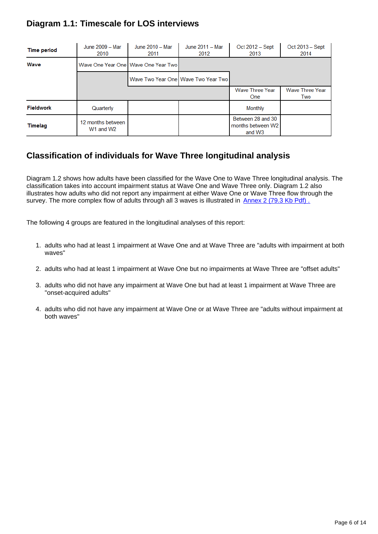### **Diagram 1.1: Timescale for LOS interviews**

| <b>Time period</b> | June 2009 - Mar<br>2010                                | June 2010 - Mar<br>2011                 | June 2011 - Mar<br>2012               | Oct 2012 - Sept<br>2013                                      | Oct 2013 - Sept<br>2014       |
|--------------------|--------------------------------------------------------|-----------------------------------------|---------------------------------------|--------------------------------------------------------------|-------------------------------|
| Wave               |                                                        | Wave One Year One I Wave One Year Two I |                                       |                                                              |                               |
|                    |                                                        |                                         | Wave Two Year One   Wave Two Year Two |                                                              |                               |
|                    |                                                        |                                         |                                       | <b>Wave Three Year</b><br><b>One</b>                         | <b>Wave Three Year</b><br>Two |
| <b>Fieldwork</b>   | Quarterly                                              |                                         |                                       | Monthly                                                      |                               |
| <b>Timelag</b>     | 12 months between<br>W <sub>1</sub> and W <sub>2</sub> |                                         |                                       | Between 28 and 30<br>months between W2<br>and W <sub>3</sub> |                               |

### **Classification of individuals for Wave Three longitudinal analysis**

Diagram 1.2 shows how adults have been classified for the Wave One to Wave Three longitudinal analysis. The classification takes into account impairment status at Wave One and Wave Three only. Diagram 1.2 also illustrates how adults who did not report any impairment at either Wave One or Wave Three flow through the survey. The more complex flow of adults through all 3 waves is illustrated in Annex 2 (79.3 Kb Pdf).

The following 4 groups are featured in the longitudinal analyses of this report:

- 1. adults who had at least 1 impairment at Wave One and at Wave Three are "adults with impairment at both waves"
- 2. adults who had at least 1 impairment at Wave One but no impairments at Wave Three are "offset adults"
- 3. adults who did not have any impairment at Wave One but had at least 1 impairment at Wave Three are "onset-acquired adults"
- 4. adults who did not have any impairment at Wave One or at Wave Three are "adults without impairment at both waves"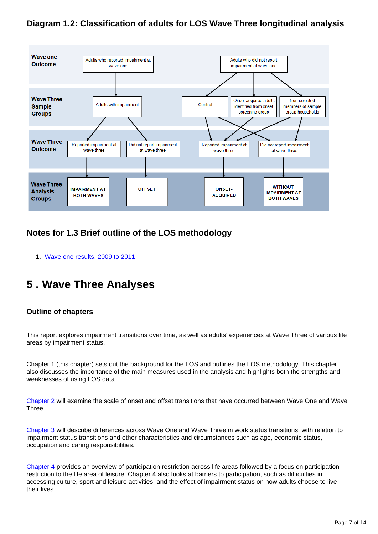### **Diagram 1.2: Classification of adults for LOS Wave Three longitudinal analysis**



### **Notes for 1.3 Brief outline of the LOS methodology**

1. [Wave one results, 2009 to 2011](https://www.gov.uk/government/uploads/system/uploads/attachment_data/file/180891/los_wave_one_200911.pdf)

## <span id="page-6-0"></span>**5 . Wave Three Analyses**

#### **Outline of chapters**

This report explores impairment transitions over time, as well as adults' experiences at Wave Three of various life areas by impairment status.

Chapter 1 (this chapter) sets out the background for the LOS and outlines the LOS methodology. This chapter also discusses the importance of the main measures used in the analysis and highlights both the strengths and weaknesses of using LOS data.

[Chapter 2](http://www.ons.gov.uk/ons/rel/los/life-opportunities-survey/wave-three--final-report--october-2012-to-september-2014/rpt-chapter-2.html) will examine the scale of onset and offset transitions that have occurred between Wave One and Wave Three.

[Chapter 3](http://www.ons.gov.uk/ons/rel/los/life-opportunities-survey/wave-three--final-report--october-2012-to-september-2014/rpt-chapter-3.html) will describe differences across Wave One and Wave Three in work status transitions, with relation to impairment status transitions and other characteristics and circumstances such as age, economic status, occupation and caring responsibilities.

[Chapter 4](http://www.ons.gov.uk/ons/rel/los/life-opportunities-survey/wave-three--final-report--october-2012-to-september-2014/rpt-chapter-4.html) provides an overview of participation restriction across life areas followed by a focus on participation restriction to the life area of leisure. Chapter 4 also looks at barriers to participation, such as difficulties in accessing culture, sport and leisure activities, and the effect of impairment status on how adults choose to live their lives.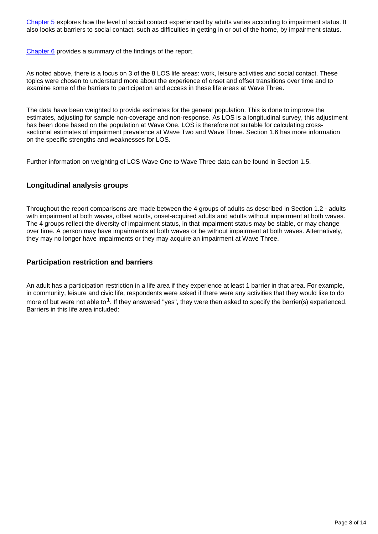[Chapter 5](http://www.ons.gov.uk/ons/rel/los/life-opportunities-survey/wave-three--final-report--october-2012-to-september-2014/rpt-chapter-5.html) explores how the level of social contact experienced by adults varies according to impairment status. It also looks at barriers to social contact, such as difficulties in getting in or out of the home, by impairment status.

[Chapter 6](http://www.ons.gov.uk/ons/rel/los/life-opportunities-survey/wave-three--final-report--october-2012-to-september-2014/rpt-chapter-6.html) provides a summary of the findings of the report.

As noted above, there is a focus on 3 of the 8 LOS life areas: work, leisure activities and social contact. These topics were chosen to understand more about the experience of onset and offset transitions over time and to examine some of the barriers to participation and access in these life areas at Wave Three.

The data have been weighted to provide estimates for the general population. This is done to improve the estimates, adjusting for sample non-coverage and non-response. As LOS is a longitudinal survey, this adjustment has been done based on the population at Wave One. LOS is therefore not suitable for calculating crosssectional estimates of impairment prevalence at Wave Two and Wave Three. Section 1.6 has more information on the specific strengths and weaknesses for LOS.

Further information on weighting of LOS Wave One to Wave Three data can be found in Section 1.5.

#### **Longitudinal analysis groups**

Throughout the report comparisons are made between the 4 groups of adults as described in Section 1.2 - adults with impairment at both waves, offset adults, onset-acquired adults and adults without impairment at both waves. The 4 groups reflect the diversity of impairment status, in that impairment status may be stable, or may change over time. A person may have impairments at both waves or be without impairment at both waves. Alternatively, they may no longer have impairments or they may acquire an impairment at Wave Three.

#### **Participation restriction and barriers**

An adult has a participation restriction in a life area if they experience at least 1 barrier in that area. For example, in community, leisure and civic life, respondents were asked if there were any activities that they would like to do more of but were not able to <sup>1</sup>. If they answered "yes", they were then asked to specify the barrier(s) experienced. Barriers in this life area included: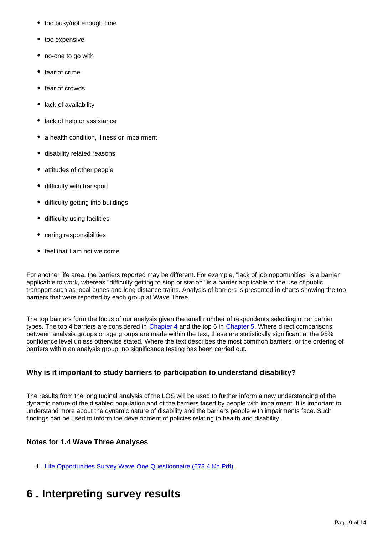- too busy/not enough time
- too expensive
- no-one to go with
- fear of crime
- fear of crowds
- lack of availability
- lack of help or assistance
- a health condition, illness or impairment
- disability related reasons
- attitudes of other people
- difficulty with transport
- difficulty getting into buildings
- difficulty using facilities
- caring responsibilities
- feel that I am not welcome

For another life area, the barriers reported may be different. For example, "lack of job opportunities" is a barrier applicable to work, whereas "difficulty getting to stop or station" is a barrier applicable to the use of public transport such as local buses and long distance trains. Analysis of barriers is presented in charts showing the top barriers that were reported by each group at Wave Three.

The top barriers form the focus of our analysis given the small number of respondents selecting other barrier types. The top 4 barriers are considered in [Chapter 4](http://www.ons.gov.uk/ons/rel/los/life-opportunities-survey/wave-three--final-report--october-2012-to-september-2014/rpt-chapter-4.html) and the top 6 in [Chapter 5.](http://www.ons.gov.uk/ons/rel/los/life-opportunities-survey/wave-three--final-report--october-2012-to-september-2014/rpt-chapter-5.html) Where direct comparisons between analysis groups or age groups are made within the text, these are statistically significant at the 95% confidence level unless otherwise stated. Where the text describes the most common barriers, or the ordering of barriers within an analysis group, no significance testing has been carried out.

#### **Why is it important to study barriers to participation to understand disability?**

The results from the longitudinal analysis of the LOS will be used to further inform a new understanding of the dynamic nature of the disabled population and of the barriers faced by people with impairment. It is important to understand more about the dynamic nature of disability and the barriers people with impairments face. Such findings can be used to inform the development of policies relating to health and disability.

#### **Notes for 1.4 Wave Three Analyses**

- 1. [Life Opportunities Survey Wave One Questionnaire \(678.4 Kb Pdf\)](http://www.ons.gov.uk/ons/rel/los/life-opportunities-survey/life-opportunities-survey/results-from-the-life-opportunities-survey--los-.pdf)
- <span id="page-8-0"></span>**6 . Interpreting survey results**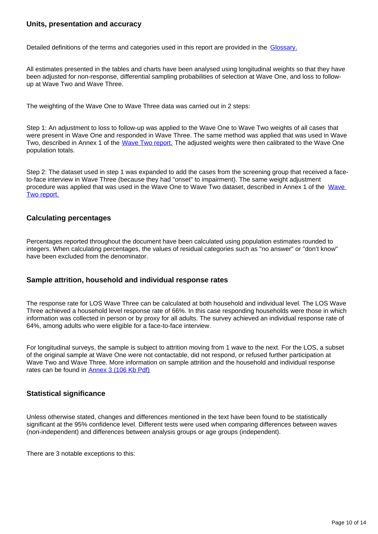#### **Units, presentation and accuracy**

Detailed definitions of the terms and categories used in this report are provided in the [Glossary.](http://www.ons.gov.uk/ons/guide-method/method-quality/specific/social-and-welfare-methodology/life-opportunities-survey/life-opportunities-survey-glossary.html)

All estimates presented in the tables and charts have been analysed using longitudinal weights so that they have been adjusted for non-response, differential sampling probabilities of selection at Wave One, and loss to followup at Wave Two and Wave Three.

The weighting of the Wave One to Wave Three data was carried out in 2 steps:

Step 1: An adjustment to loss to follow-up was applied to the Wave One to Wave Two weights of all cases that were present in Wave One and responded in Wave Three. The same method was applied that was used in Wave Two, described in Annex 1 of the [Wave Two report.](http://www.ons.gov.uk/ons/rel/los/life-opportunities-survey/wave-two--part-ii/index.html) The adjusted weights were then calibrated to the Wave One population totals.

Step 2: The dataset used in step 1 was expanded to add the cases from the screening group that received a faceto-face interview in Wave Three (because they had "onset" to impairment). The same weight adjustment procedure was applied that was used in the Wave One to Wave Two dataset, described in Annex 1 of the [Wave](http://www.ons.gov.uk/ons/rel/los/life-opportunities-survey/wave-two--part-ii/index.html)  [Two report.](http://www.ons.gov.uk/ons/rel/los/life-opportunities-survey/wave-two--part-ii/index.html)

#### **Calculating percentages**

Percentages reported throughout the document have been calculated using population estimates rounded to integers. When calculating percentages, the values of residual categories such as "no answer" or "don't know" have been excluded from the denominator.

#### **Sample attrition, household and individual response rates**

The response rate for LOS Wave Three can be calculated at both household and individual level. The LOS Wave Three achieved a household level response rate of 66%. In this case responding households were those in which information was collected in person or by proxy for all adults. The survey achieved an individual response rate of 64%, among adults who were eligible for a face-to-face interview.

For longitudinal surveys, the sample is subject to attrition moving from 1 wave to the next. For the LOS, a subset of the original sample at Wave One were not contactable, did not respond, or refused further participation at Wave Two and Wave Three. More information on sample attrition and the household and individual response rates can be found in **[Annex 3 \(106 Kb Pdf\)](http://www.ons.gov.uk/ons/guide-method/method-quality/specific/social-and-welfare-methodology/life-opportunities-survey/annex-3-response-rates.pdf)** 

#### **Statistical significance**

Unless otherwise stated, changes and differences mentioned in the text have been found to be statistically significant at the 95% confidence level. Different tests were used when comparing differences between waves (non-independent) and differences between analysis groups or age groups (independent).

There are 3 notable exceptions to this: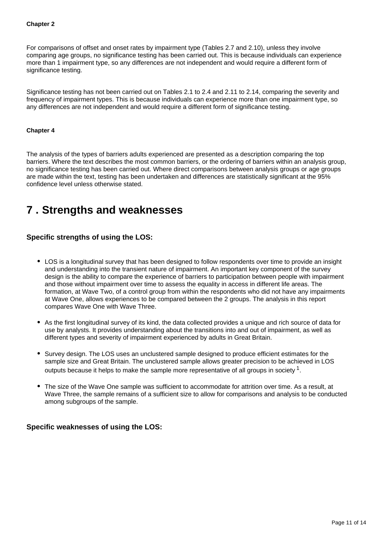#### **Chapter 2**

For comparisons of offset and onset rates by impairment type (Tables 2.7 and 2.10), unless they involve comparing age groups, no significance testing has been carried out. This is because individuals can experience more than 1 impairment type, so any differences are not independent and would require a different form of significance testing.

Significance testing has not been carried out on Tables 2.1 to 2.4 and 2.11 to 2.14, comparing the severity and frequency of impairment types. This is because individuals can experience more than one impairment type, so any differences are not independent and would require a different form of significance testing.

#### **Chapter 4**

The analysis of the types of barriers adults experienced are presented as a description comparing the top barriers. Where the text describes the most common barriers, or the ordering of barriers within an analysis group, no significance testing has been carried out. Where direct comparisons between analysis groups or age groups are made within the text, testing has been undertaken and differences are statistically significant at the 95% confidence level unless otherwise stated.

### <span id="page-10-0"></span>**7 . Strengths and weaknesses**

#### **Specific strengths of using the LOS:**

- LOS is a longitudinal survey that has been designed to follow respondents over time to provide an insight and understanding into the transient nature of impairment. An important key component of the survey design is the ability to compare the experience of barriers to participation between people with impairment and those without impairment over time to assess the equality in access in different life areas. The formation, at Wave Two, of a control group from within the respondents who did not have any impairments at Wave One, allows experiences to be compared between the 2 groups. The analysis in this report compares Wave One with Wave Three.
- As the first longitudinal survey of its kind, the data collected provides a unique and rich source of data for use by analysts. It provides understanding about the transitions into and out of impairment, as well as different types and severity of impairment experienced by adults in Great Britain.
- Survey design. The LOS uses an unclustered sample designed to produce efficient estimates for the sample size and Great Britain. The unclustered sample allows greater precision to be achieved in LOS outputs because it helps to make the sample more representative of all groups in society  $^1$ .
- The size of the Wave One sample was sufficient to accommodate for attrition over time. As a result, at Wave Three, the sample remains of a sufficient size to allow for comparisons and analysis to be conducted among subgroups of the sample.

#### **Specific weaknesses of using the LOS:**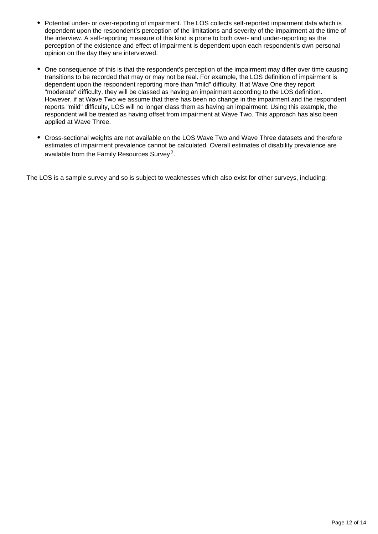- Potential under- or over-reporting of impairment. The LOS collects self-reported impairment data which is dependent upon the respondent's perception of the limitations and severity of the impairment at the time of the interview. A self-reporting measure of this kind is prone to both over- and under-reporting as the perception of the existence and effect of impairment is dependent upon each respondent's own personal opinion on the day they are interviewed.
- One consequence of this is that the respondent's perception of the impairment may differ over time causing transitions to be recorded that may or may not be real. For example, the LOS definition of impairment is dependent upon the respondent reporting more than "mild" difficulty. If at Wave One they report "moderate" difficulty, they will be classed as having an impairment according to the LOS definition. However, if at Wave Two we assume that there has been no change in the impairment and the respondent reports "mild" difficulty, LOS will no longer class them as having an impairment. Using this example, the respondent will be treated as having offset from impairment at Wave Two. This approach has also been applied at Wave Three.
- Cross-sectional weights are not available on the LOS Wave Two and Wave Three datasets and therefore estimates of impairment prevalence cannot be calculated. Overall estimates of disability prevalence are available from the Family Resources Survey<sup>2</sup>.

The LOS is a sample survey and so is subject to weaknesses which also exist for other surveys, including: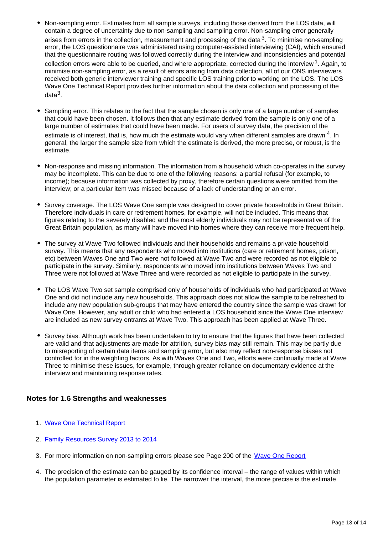- Non-sampling error. Estimates from all sample surveys, including those derived from the LOS data, will contain a degree of uncertainty due to non-sampling and sampling error. Non-sampling error generally arises from errors in the collection, measurement and processing of the data  $3$ . To minimise non-sampling error, the LOS questionnaire was administered using computer-assisted interviewing (CAI), which ensured that the questionnaire routing was followed correctly during the interview and inconsistencies and potential collection errors were able to be queried, and where appropriate, corrected during the interview  $1$ . Again, to minimise non-sampling error, as a result of errors arising from data collection, all of our ONS interviewers received both generic interviewer training and specific LOS training prior to working on the LOS. The LOS Wave One Technical Report provides further information about the data collection and processing of the data $^3$ .
- Sampling error. This relates to the fact that the sample chosen is only one of a large number of samples that could have been chosen. It follows then that any estimate derived from the sample is only one of a large number of estimates that could have been made. For users of survey data, the precision of the estimate is of interest, that is, how much the estimate would vary when different samples are drawn  $4$ . In general, the larger the sample size from which the estimate is derived, the more precise, or robust, is the estimate.
- Non-response and missing information. The information from a household which co-operates in the survey may be incomplete. This can be due to one of the following reasons: a partial refusal (for example, to income); because information was collected by proxy, therefore certain questions were omitted from the interview; or a particular item was missed because of a lack of understanding or an error.
- Survey coverage. The LOS Wave One sample was designed to cover private households in Great Britain. Therefore individuals in care or retirement homes, for example, will not be included. This means that figures relating to the severely disabled and the most elderly individuals may not be representative of the Great Britain population, as many will have moved into homes where they can receive more frequent help.
- The survey at Wave Two followed individuals and their households and remains a private household survey. This means that any respondents who moved into institutions (care or retirement homes, prison, etc) between Waves One and Two were not followed at Wave Two and were recorded as not eligible to participate in the survey. Similarly, respondents who moved into institutions between Waves Two and Three were not followed at Wave Three and were recorded as not eligible to participate in the survey.
- The LOS Wave Two set sample comprised only of households of individuals who had participated at Wave One and did not include any new households. This approach does not allow the sample to be refreshed to include any new population sub-groups that may have entered the country since the sample was drawn for Wave One. However, any adult or child who had entered a LOS household since the Wave One interview are included as new survey entrants at Wave Two. This approach has been applied at Wave Three.
- Survey bias. Although work has been undertaken to try to ensure that the figures that have been collected are valid and that adjustments are made for attrition, survey bias may still remain. This may be partly due to misreporting of certain data items and sampling error, but also may reflect non-response biases not controlled for in the weighting factors. As with Waves One and Two, efforts were continually made at Wave Three to minimise these issues, for example, through greater reliance on documentary evidence at the interview and maintaining response rates.

#### **Notes for 1.6 Strengths and weaknesses**

- 1. [Wave One Technical Report](http://www.ons.gov.uk/ons/rel/los/life-opportunities-survey/wave-one-technical-report-2009-11/wave-one-technical-report--2009-11.pdf)
- 2. **[Family Resources Survey 2013 to 2014](https://www.gov.uk/government/uploads/system/uploads/attachment_data/file/437481/family-resources-survey-2013-14.pdf)**
- 3. For more information on non-sampling errors please see Page 200 of the [Wave One Report](http://www.gov.uk/government/uploads/system/uploads/attachment_data/file/180891/los_wave_one_200911.pdf)
- 4. The precision of the estimate can be gauged by its confidence interval the range of values within which the population parameter is estimated to lie. The narrower the interval, the more precise is the estimate